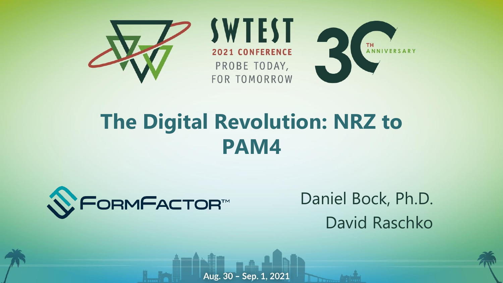

#### **The Digital Revolution: NRZ to PAM4**

Aug. 30 - Sep. 1, 2021



Daniel Bock, Ph.D. David Raschko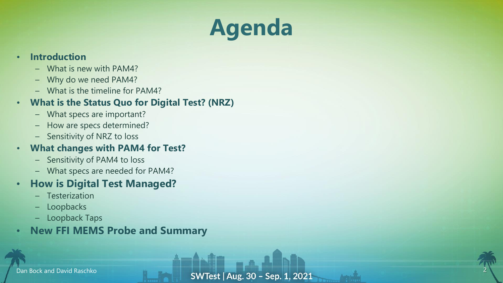## **Agenda**

#### • **Introduction**

- What is new with PAM4?
- Why do we need PAM4?
- What is the timeline for PAM4?

#### • **What is the Status Quo for Digital Test? (NRZ)**

- What specs are important?
- How are specs determined?
- Sensitivity of NRZ to loss

#### • **What changes with PAM4 for Test?**

- Sensitivity of PAM4 to loss
- What specs are needed for PAM4?

#### • **How is Digital Test Managed?**

- **Testerization**
- **Loopbacks**
- Loopback Taps
- **New FFI MEMS Probe and Summary**

2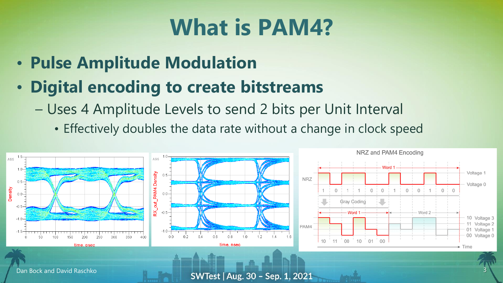#### **What is PAM4?**

- **Pulse Amplitude Modulation**
- **Digital encoding to create bitstreams**
	- Uses 4 Amplitude Levels to send 2 bits per Unit Interval
		- Effectively doubles the data rate without a change in clock speed

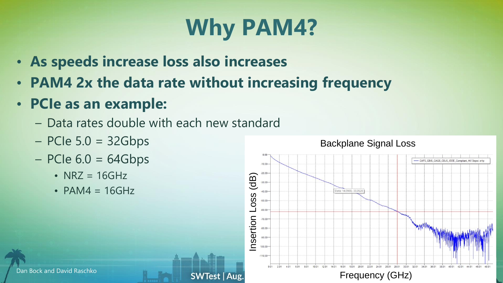# **Why PAM4?**

- **As speeds increase loss also increases**
- **PAM4 2x the data rate without increasing frequency**

**SWTest | Aug.** 

- **PCIe as an example:**
	- Data rates double with each new standard
	- $-$  PCIe 5.0 = 32Gbps
	- $-$  PCIe 6.0 = 64Gbps
		- NRZ =  $16GHz$
		- $\cdot$  PAM4 = 16GHz

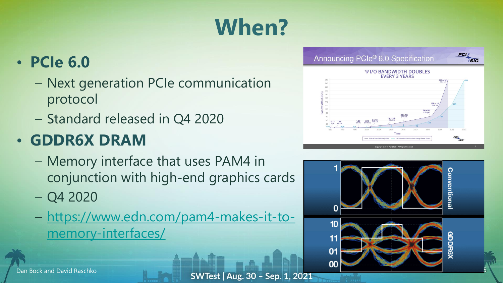# **When?**

#### • **PCIe 6.0**

- Next generation PCIe communication protocol
- Standard released in Q4 2020

#### • **GDDR6X DRAM**

- Memory interface that uses PAM4 in conjunction with high-end graphics cards
- Q4 2020
- [https://www.edn.com/pam4-makes-it-to](https://www.edn.com/pam4-makes-it-to-memory-interfaces/)memory-interfaces/





Dan Bock and David Raschko **50 Messach SWTest | Aug. 30 - Sep. 1, 2021**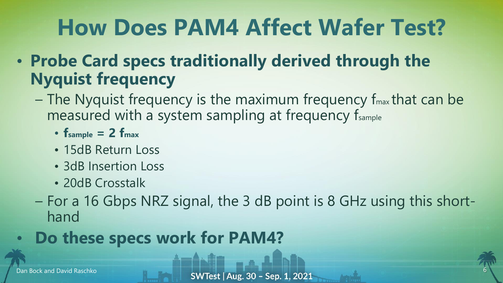## **How Does PAM4 Affect Wafer Test?**

- **Probe Card specs traditionally derived through the Nyquist frequency**
	- $-$  The Nyquist frequency is the maximum frequency  $f_{\text{max}}$  that can be measured with a system sampling at frequency fsample
		- **fsample = 2 fmax**
		- 15dB Return Loss
		- 3dB Insertion Loss
		- 20dB Crosstalk
	- For a 16 Gbps NRZ signal, the 3 dB point is 8 GHz using this shorthand

#### • **Do these specs work for PAM4?**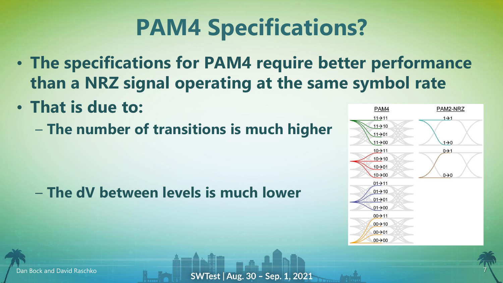## **PAM4 Specifications?**

- **The specifications for PAM4 require better performance than a NRZ signal operating at the same symbol rate**
- **That is due to:**
	- **The number of transitions is much higher**

– **The dV between levels is much lower**

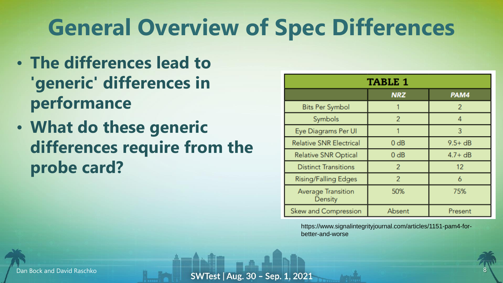## **General Overview of Spec Differences**

- **The differences lead to 'generic' differences in performance**
- **What do these generic differences require from the probe card?**

| TABLE 1                        |                          |                |  |
|--------------------------------|--------------------------|----------------|--|
|                                | <b>NRZ</b>               | PAM4           |  |
| <b>Bits Per Symbol</b>         |                          | $\overline{2}$ |  |
| Symbols                        | $\overline{2}$           |                |  |
| Eye Diagrams Per UI            |                          | 3              |  |
| <b>Relative SNR Electrical</b> | 0 dB                     | $9.5 + dB$     |  |
| <b>Relative SNR Optical</b>    | 0 dB                     | $4.7 + dB$     |  |
| <b>Distinct Transitions</b>    |                          | 12             |  |
| <b>Rising/Falling Edges</b>    | $\overline{\mathcal{L}}$ |                |  |
| Average Transition<br>Density  | 50%                      | 75%            |  |
| Skew and Compression           | Absent                   | Present        |  |

https://www.signalintegrityjournal.com/articles/1151-pam4-forbetter-and-worse

Dan Bock and David Raschko **8 Mars 19 SWTest | Aug. 30 - Sep. 1, 2021**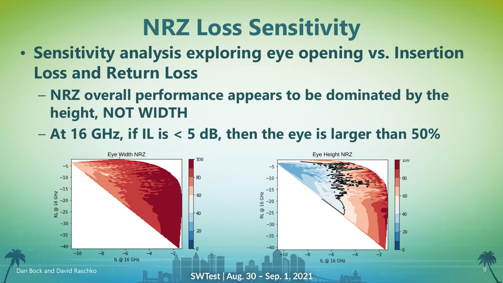### **NRZ Loss Sensitivity**

- **Sensitivity analysis exploring eye opening vs. Insertion Loss and Return Loss**
	- **NRZ overall performance appears to be dominated by the height, NOT WIDTH**
	- **At 16 GHz, if IL is < 5 dB, then the eye is larger than 50%**

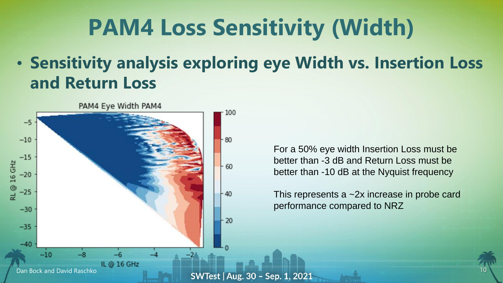### **PAM4 Loss Sensitivity (Width)**

#### • **Sensitivity analysis exploring eye Width vs. Insertion Loss and Return Loss**



For a 50% eye width Insertion Loss must be better than -3 dB and Return Loss must be better than -10 dB at the Nyquist frequency

This represents a ~2x increase in probe card performance compared to NRZ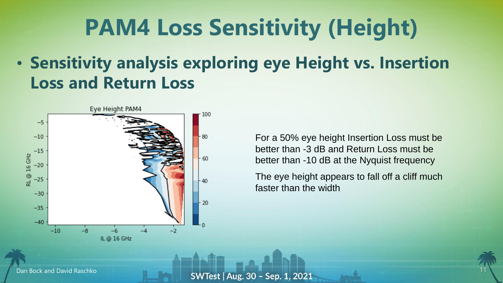### **PAM4 Loss Sensitivity (Height)**

#### • **Sensitivity analysis exploring eye Height vs. Insertion Loss and Return Loss**



For a 50% eye height Insertion Loss must be better than -3 dB and Return Loss must be better than -10 dB at the Nyquist frequency

The eye height appears to fall off a cliff much faster than the width

Dan Bock and David Raschko **11 SWTest | Aug. 30 - Sep. 1, 2021**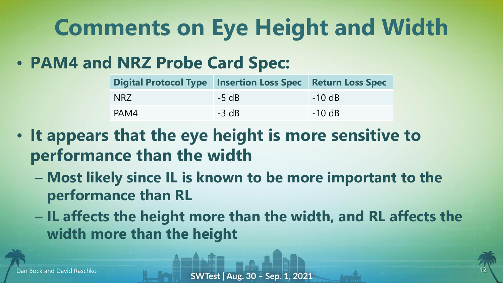## **Comments on Eye Height and Width**

• **PAM4 and NRZ Probe Card Spec:**

| <b>Digital Protocol Type</b> | <b>Insertion Loss Spec Return Loss Spec</b> |          |
|------------------------------|---------------------------------------------|----------|
| <b>NRZ</b>                   | $-5$ dB                                     | $-10$ dB |
| PAM4                         | $-3 dB$                                     | $-10$ dB |

- **It appears that the eye height is more sensitive to performance than the width**
	- **Most likely since IL is known to be more important to the performance than RL**
	- **IL affects the height more than the width, and RL affects the width more than the height**

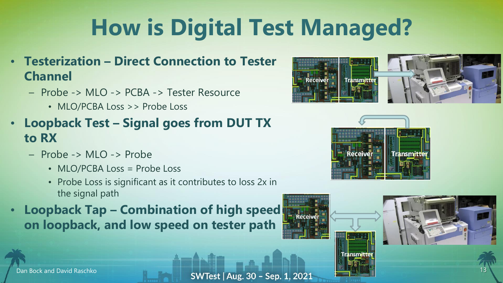# **How is Digital Test Managed?**

- **Testerization – Direct Connection to Tester Channel**
	- Probe -> MLO -> PCBA -> Tester Resource
		- MLO/PCBA Loss >> Probe Loss
- **Loopback Test – Signal goes from DUT TX to RX**
	- Probe -> MLO -> Probe
		- MLO/PCBA Loss = Probe Loss
		- Probe Loss is significant as it contributes to loss 2x in the signal path
- **Loopback Tap – Combination of high speed on loopback, and low speed on tester path**







Dan Bock and David Raschko **13 SWTest | Aug. 30 - Sep. 1, 2021** 

Recei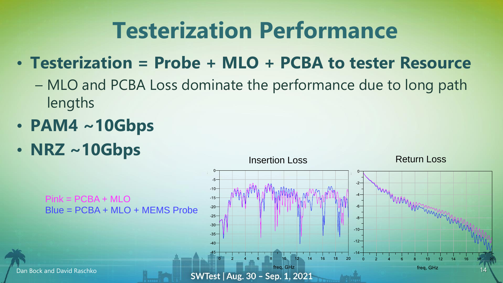#### **Testerization Performance**

#### • **Testerization = Probe + MLO + PCBA to tester Resource**

- MLO and PCBA Loss dominate the performance due to long path lengths
- **PAM4 ~10Gbps**
- **NRZ ~10Gbps**

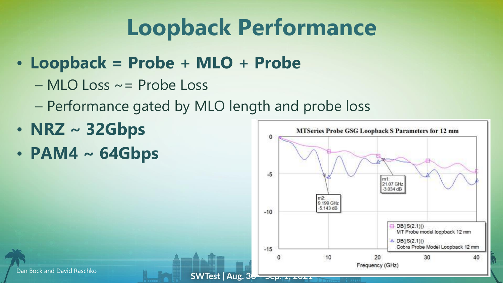### **Loopback Performance**

 $OCD$ . It  $EOL$ 

- **Loopback = Probe + MLO + Probe**
	- MLO Loss ~= Probe Loss
	- Performance gated by MLO length and probe loss
- **NRZ ~ 32Gbps**
- **PAM4 ~ 64Gbps**

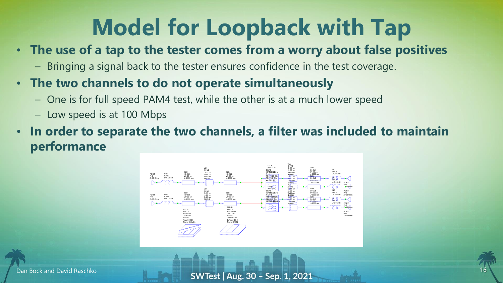## **Model for Loopback with Tap**

#### • **The use of a tap to the tester comes from a worry about false positives**

- Bringing a signal back to the tester ensures confidence in the test coverage.
- **The two channels to do not operate simultaneously**
	- One is for full speed PAM4 test, while the other is at a much lower speed
	- Low speed is at 100 Mbps
- **In order to separate the two channels, a filter was included to maintain performance**





Dan Bock and David Raschko **16 March 17 March 17 March 17 March 17 March 17 March 17 March 17 March 17 March 17 March 17 March 17 March 17 March 17 March 17 March 17 March 17 March 17 March 17 March 17 March 17 March 17 Ma** 

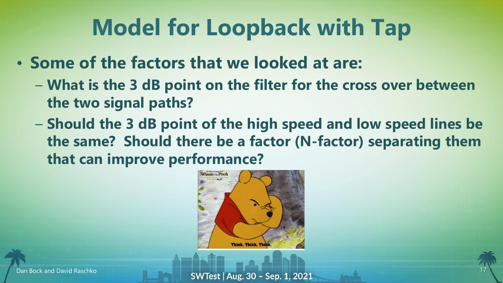## **Model for Loopback with Tap**

- **Some of the factors that we looked at are:**
	- **What is the 3 dB point on the filter for the cross over between the two signal paths?**
	- **Should the 3 dB point of the high speed and low speed lines be the same? Should there be a factor (N-factor) separating them that can improve performance?**





Dan Bock and David Raschko **17 March 17 March 17 SWTest | Aug. 30 - Sep. 1, 2021** 

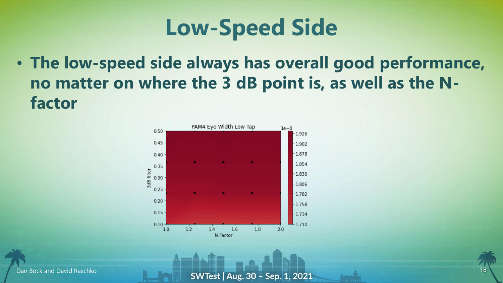

• **The low-speed side always has overall good performance, no matter on where the 3 dB point is, as well as the Nfactor**



Dan Bock and David Raschko **18 SWTest | Aug. 30 - Sep. 1, 2021** 

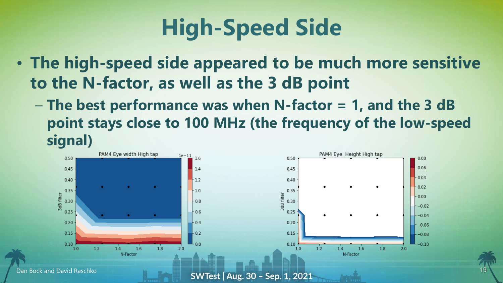# **High-Speed Side**

- **The high-speed side appeared to be much more sensitive to the N-factor, as well as the 3 dB point**
	- **The best performance was when N-factor = 1, and the 3 dB point stays close to 100 MHz (the frequency of the low-speed signal)**

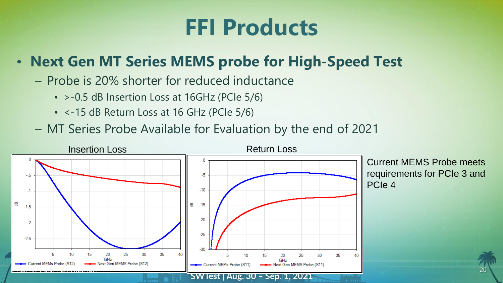#### **FFI Products**

#### • **Next Gen MT Series MEMS probe for High-Speed Test**

- Probe is 20% shorter for reduced inductance
	- >-0.5 dB Insertion Loss at 16GHz (PCIe 5/6)
	- <-15 dB Return Loss at 16 GHz (PCIe 5/6)
- MT Series Probe Available for Evaluation by the end of 2021

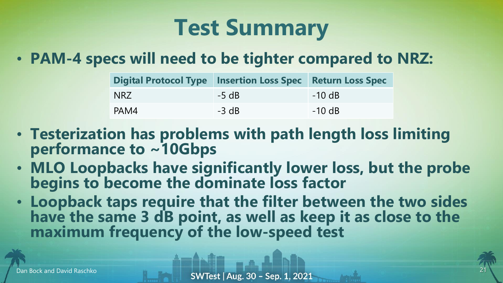### **Test Summary**

#### • **PAM-4 specs will need to be tighter compared to NRZ:**

| <b>Digital Protocol Type</b> | <b>Insertion Loss Spec Return Loss Spec</b> |          |
|------------------------------|---------------------------------------------|----------|
| NRZ                          | $-5 dB$                                     | $-10$ dB |
| PAM4                         | $-3$ dB                                     | $-10$ dB |

- **Testerization has problems with path length loss limiting performance to ~10Gbps**
- **MLO Loopbacks have significantly lower loss, but the probe begins to become the dominate loss factor**
- **Loopback taps require that the filter between the two sides**  have the same 3 dB point, as well as keep it as close to the **maximum frequency of the low-speed test**